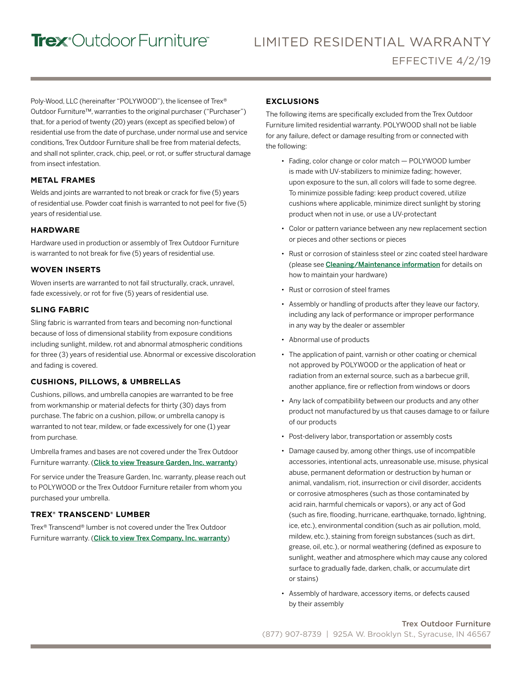# Trex<sup>®</sup>Outdoor Furniture®

Poly-Wood, LLC (hereinafter "POLYWOOD"), the licensee of Trex® Outdoor Furniture™, warranties to the original purchaser ("Purchaser") that, for a period of twenty (20) years (except as specified below) of residential use from the date of purchase, under normal use and service conditions, Trex Outdoor Furniture shall be free from material defects, and shall not splinter, crack, chip, peel, or rot, or suffer structural damage from insect infestation.

#### **METAL FRAMES**

Welds and joints are warranted to not break or crack for five (5) years of residential use. Powder coat finish is warranted to not peel for five (5) years of residential use.

#### **HARDWARE**

Hardware used in production or assembly of Trex Outdoor Furniture is warranted to not break for five (5) years of residential use.

#### **WOVEN INSERTS**

Woven inserts are warranted to not fail structurally, crack, unravel, fade excessively, or rot for five (5) years of residential use.

#### **SLING FABRIC**

Sling fabric is warranted from tears and becoming non-functional because of loss of dimensional stability from exposure conditions including sunlight, mildew, rot and abnormal atmospheric conditions for three (3) years of residential use. Abnormal or excessive discoloration and fading is covered.

#### **CUSHIONS, PILLOWS, & UMBRELLAS**

Cushions, pillows, and umbrella canopies are warranted to be free from workmanship or material defects for thirty (30) days from purchase. The fabric on a cushion, pillow, or umbrella canopy is warranted to not tear, mildew, or fade excessively for one (1) year from purchase.

Umbrella frames and bases are not covered under the Trex Outdoor Furniture warranty. ([Click to view Treasure Garden, Inc. warranty](http://treasuregarden.com/info/118/Customer_Support.html))

For service under the Treasure Garden, Inc. warranty, please reach out to POLYWOOD or the Trex Outdoor Furniture retailer from whom you purchased your umbrella.

#### **TREX® TRANSCEND® LUMBER**

Trex® Transcend® lumber is not covered under the Trex Outdoor Furniture warranty. ([Click to view Trex Company, Inc. warranty](https://www.trex.com/trex-owners/warranty/))

#### **EXCLUSIONS**

The following items are specifically excluded from the Trex Outdoor Furniture limited residential warranty. POLYWOOD shall not be liable for any failure, defect or damage resulting from or connected with the following:

- Fading, color change or color match POLYWOOD lumber is made with UV-stabilizers to minimize fading; however, upon exposure to the sun, all colors will fade to some degree. To minimize possible fading: keep product covered, utilize cushions where applicable, minimize direct sunlight by storing product when not in use, or use a UV-protectant
- Color or pattern variance between any new replacement section or pieces and other sections or pieces
- Rust or corrosion of stainless steel or zinc coated steel hardware (please see [Cleaning/Maintenance information](https://www.trexfurniture.com/learn-more/product-care.html) for details on how to maintain your hardware)
- Rust or corrosion of steel frames
- Assembly or handling of products after they leave our factory, including any lack of performance or improper performance in any way by the dealer or assembler
- Abnormal use of products
- The application of paint, varnish or other coating or chemical not approved by POLYWOOD or the application of heat or radiation from an external source, such as a barbecue grill, another appliance, fire or reflection from windows or doors
- Any lack of compatibility between our products and any other product not manufactured by us that causes damage to or failure of our products
- Post-delivery labor, transportation or assembly costs
- Damage caused by, among other things, use of incompatible accessories, intentional acts, unreasonable use, misuse, physical abuse, permanent deformation or destruction by human or animal, vandalism, riot, insurrection or civil disorder, accidents or corrosive atmospheres (such as those contaminated by acid rain, harmful chemicals or vapors), or any act of God (such as fire, flooding, hurricane, earthquake, tornado, lightning, ice, etc.), environmental condition (such as air pollution, mold, mildew, etc.), staining from foreign substances (such as dirt, grease, oil, etc.), or normal weathering (defined as exposure to sunlight, weather and atmosphere which may cause any colored surface to gradually fade, darken, chalk, or accumulate dirt or stains)
- Assembly of hardware, accessory items, or defects caused by their assembly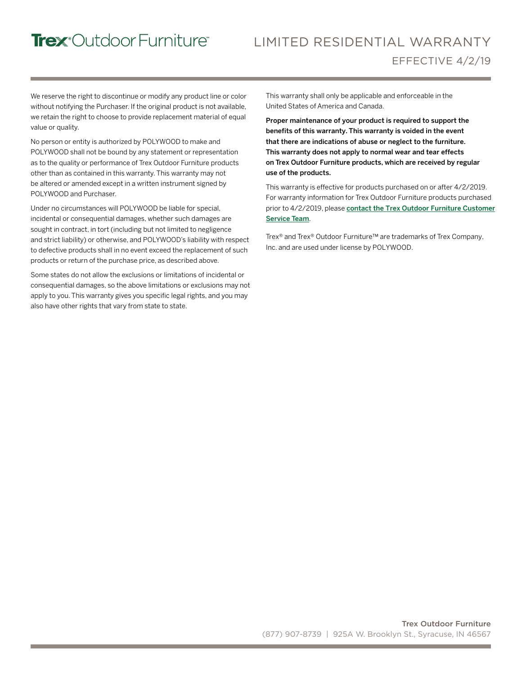## Trex<sup>°</sup>Outdoor Furniture®

### LIMITED RESIDENTIAL WARRANTY EFFECTIVE 4/2/19

We reserve the right to discontinue or modify any product line or color without notifying the Purchaser. If the original product is not available, we retain the right to choose to provide replacement material of equal value or quality.

No person or entity is authorized by POLYWOOD to make and POLYWOOD shall not be bound by any statement or representation as to the quality or performance of Trex Outdoor Furniture products other than as contained in this warranty. This warranty may not be altered or amended except in a written instrument signed by POLYWOOD and Purchaser.

Under no circumstances will POLYWOOD be liable for special, incidental or consequential damages, whether such damages are sought in contract, in tort (including but not limited to negligence and strict liability) or otherwise, and POLYWOOD's liability with respect to defective products shall in no event exceed the replacement of such products or return of the purchase price, as described above.

Some states do not allow the exclusions or limitations of incidental or consequential damages, so the above limitations or exclusions may not apply to you. This warranty gives you specific legal rights, and you may also have other rights that vary from state to state.

This warranty shall only be applicable and enforceable in the United States of America and Canada.

Proper maintenance of your product is required to support the benefits of this warranty. This warranty is voided in the event that there are indications of abuse or neglect to the furniture. This warranty does not apply to normal wear and tear effects on Trex Outdoor Furniture products, which are received by regular use of the products.

This warranty is effective for products purchased on or after 4/2/2019. For warranty information for Trex Outdoor Furniture products purchased prior to 4/2/2019, please contact [the Trex Outdoor Furniture](https://www.trexfurniture.com/customer-service/contact-us.html) Customer Service Team.

Trex® and Trex® Outdoor Furniture™ are trademarks of Trex Company, Inc. and are used under license by POLYWOOD.